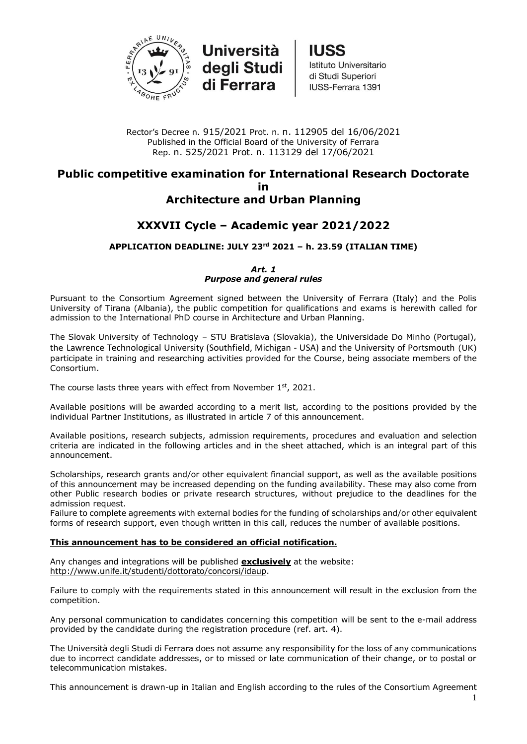

**Università** degli Studi di Ferrara

**IUSS** Istituto Universitario di Studi Superiori IUSS-Ferrara 1391

Rector's Decree n. 915/2021 Prot. n. n. 112905 del 16/06/2021 Published in the Official Board of the University of Ferrara Rep. n. 525/2021 Prot. n. 113129 del 17/06/2021

# **Public competitive examination for International Research Doctorate in Architecture and Urban Planning**

# **XXXVII Cycle – Academic year 2021/2022**

# **APPLICATION DEADLINE: JULY 23rd 2021 – h. 23.59 (ITALIAN TIME)**

*Art. 1 Purpose and general rules*

Pursuant to the Consortium Agreement signed between the University of Ferrara (Italy) and the Polis University of Tirana (Albania), the public competition for qualifications and exams is herewith called for admission to the International PhD course in Architecture and Urban Planning.

The Slovak University of Technology – STU Bratislava (Slovakia), the Universidade Do Minho (Portugal), the Lawrence Technological University (Southfield, Michigan - USA) and the University of Portsmouth (UK) participate in training and researching activities provided for the Course, being associate members of the Consortium.

The course lasts three years with effect from November 1st, 2021.

Available positions will be awarded according to a merit list, according to the positions provided by the individual Partner Institutions, as illustrated in article 7 of this announcement.

Available positions, research subjects, admission requirements, procedures and evaluation and selection criteria are indicated in the following articles and in the sheet attached, which is an integral part of this announcement.

Scholarships, research grants and/or other equivalent financial support, as well as the available positions of this announcement may be increased depending on the funding availability. These may also come from other Public research bodies or private research structures, without prejudice to the deadlines for the admission request.

Failure to complete agreements with external bodies for the funding of scholarships and/or other equivalent forms of research support, even though written in this call, reduces the number of available positions.

# **This announcement has to be considered an official notification.**

Any changes and integrations will be published **exclusively** at the website: [http://www.unife.it/studenti/dottorato/concorsi/idaup.](http://www.unife.it/studenti/dottorato/concorsi/idaup)

Failure to comply with the requirements stated in this announcement will result in the exclusion from the competition.

Any personal communication to candidates concerning this competition will be sent to the e-mail address provided by the candidate during the registration procedure (ref. art. 4).

The Università degli Studi di Ferrara does not assume any responsibility for the loss of any communications due to incorrect candidate addresses, or to missed or late communication of their change, or to postal or telecommunication mistakes.

This announcement is drawn-up in Italian and English according to the rules of the Consortium Agreement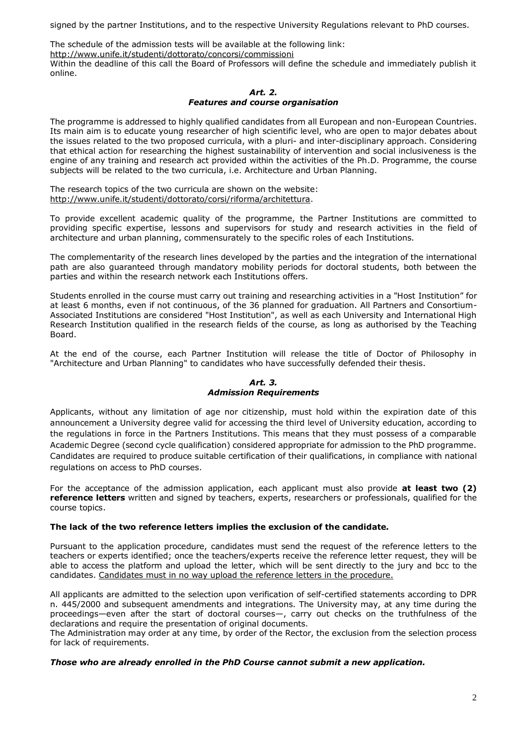signed by the partner Institutions, and to the respective University Regulations relevant to PhD courses.

The schedule of the admission tests will be available at the following link: <http://www.unife.it/studenti/dottorato/concorsi/commissioni>

Within the deadline of this call the Board of Professors will define the schedule and immediately publish it online.

#### *Art. 2. Features and course organisation*

The programme is addressed to highly qualified candidates from all European and non-European Countries. Its main aim is to educate young researcher of high scientific level, who are open to major debates about the issues related to the two proposed curricula, with a pluri- and inter-disciplinary approach. Considering that ethical action for researching the highest sustainability of intervention and social inclusiveness is the engine of any training and research act provided within the activities of the Ph.D. Programme, the course subjects will be related to the two curricula, i.e. Architecture and Urban Planning.

The research topics of the two curricula are shown on the website: [http://www.unife.it/studenti/dottorato/corsi/riforma/architettura.](http://www.unife.it/studenti/dottorato/corsi/riforma/architettura)

To provide excellent academic quality of the programme, the Partner Institutions are committed to providing specific expertise, lessons and supervisors for study and research activities in the field of architecture and urban planning, commensurately to the specific roles of each Institutions.

The complementarity of the research lines developed by the parties and the integration of the international path are also guaranteed through mandatory mobility periods for doctoral students, both between the parties and within the research network each Institutions offers.

Students enrolled in the course must carry out training and researching activities in a "Host Institution" for at least 6 months, even if not continuous, of the 36 planned for graduation. All Partners and Consortium-Associated Institutions are considered "Host Institution", as well as each University and International High Research Institution qualified in the research fields of the course, as long as authorised by the Teaching Board.

At the end of the course, each Partner Institution will release the title of Doctor of Philosophy in "Architecture and Urban Planning" to candidates who have successfully defended their thesis.

#### *Art. 3. Admission Requirements*

Applicants, without any limitation of age nor citizenship, must hold within the expiration date of this announcement a University degree valid for accessing the third level of University education, according to the regulations in force in the Partners Institutions. This means that they must possess of a comparable Academic Degree (second cycle qualification) considered appropriate for admission to the PhD programme. Candidates are required to produce suitable certification of their qualifications, in compliance with national regulations on access to PhD courses.

For the acceptance of the admission application, each applicant must also provide **at least two (2) reference letters** written and signed by teachers, experts, researchers or professionals, qualified for the course topics.

# **The lack of the two reference letters implies the exclusion of the candidate.**

Pursuant to the application procedure, candidates must send the request of the reference letters to the teachers or experts identified; once the teachers/experts receive the reference letter request, they will be able to access the platform and upload the letter, which will be sent directly to the jury and bcc to the candidates. Candidates must in no way upload the reference letters in the procedure.

All applicants are admitted to the selection upon verification of self-certified statements according to DPR n. 445/2000 and subsequent amendments and integrations. The University may, at any time during the proceedings—even after the start of doctoral courses—, carry out checks on the truthfulness of the declarations and require the presentation of original documents.

The Administration may order at any time, by order of the Rector, the exclusion from the selection process for lack of requirements.

# *Those who are already enrolled in the PhD Course cannot submit a new application.*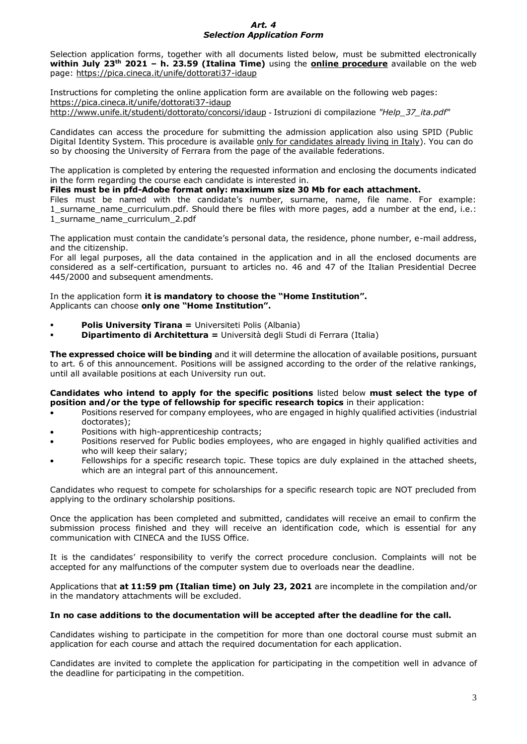### *Art. 4 Selection Application Form*

Selection application forms, together with all documents listed below, must be submitted electronically **within July 23th 2021 – h. 23.59 (Italina Time)** using the **online procedure** available on the web page:<https://pica.cineca.it/unife/dottorati37-idaup>

Instructions for completing the online application form are available on the following web pages: <https://pica.cineca.it/unife/dottorati37-idaup> [http://www.unife.it/studenti/dottorato/concorsi/idaup](http://www.unife.it/studenti/dottorato/it/modulistica/concorsi/ciclo-34/help_linee_guida/at_download/file) - Istruzioni di compilazione *"Help\_37\_ita.pdf"*

Candidates can access the procedure for submitting the admission application also using SPID (Public Digital Identity System. This procedure is available only for candidates already living in Italy). You can do so by choosing the University of Ferrara from the page of the available federations.

The application is completed by entering the requested information and enclosing the documents indicated in the form regarding the course each candidate is interested in.

## **Files must be in pfd-Adobe format only: maximum size 30 Mb for each attachment.**

Files must be named with the candidate's number, surname, name, file name. For example: 1\_surname\_name\_curriculum.pdf. Should there be files with more pages, add a number at the end, i.e.: 1\_surname\_name\_curriculum\_2.pdf

The application must contain the candidate's personal data, the residence, phone number, e-mail address, and the citizenship.

For all legal purposes, all the data contained in the application and in all the enclosed documents are considered as a self-certification, pursuant to articles no. 46 and 47 of the Italian Presidential Decree 445/2000 and subsequent amendments.

In the application form **it is mandatory to choose the "Home Institution".** Applicants can choose **only one "Home Institution".**

- **Polis University Tirana =** Universiteti Polis (Albania)
- **Dipartimento di Architettura =** Università degli Studi di Ferrara (Italia)

**The expressed choice will be binding** and it will determine the allocation of available positions, pursuant to art. 6 of this announcement. Positions will be assigned according to the order of the relative rankings, until all available positions at each University run out.

**Candidates who intend to apply for the specific positions** listed below **must select the type of position and/or the type of fellowship for specific research topics** in their application:

- Positions reserved for company employees, who are engaged in highly qualified activities (industrial doctorates);
- Positions with high-apprenticeship contracts;
- Positions reserved for Public bodies employees, who are engaged in highly qualified activities and who will keep their salary;
- Fellowships for a specific research topic. These topics are duly explained in the attached sheets, which are an integral part of this announcement.

Candidates who request to compete for scholarships for a specific research topic are NOT precluded from applying to the ordinary scholarship positions.

Once the application has been completed and submitted, candidates will receive an email to confirm the submission process finished and they will receive an identification code, which is essential for any communication with CINECA and the IUSS Office.

It is the candidates' responsibility to verify the correct procedure conclusion. Complaints will not be accepted for any malfunctions of the computer system due to overloads near the deadline.

Applications that **at 11:59 pm (Italian time) on July 23, 2021** are incomplete in the compilation and/or in the mandatory attachments will be excluded.

#### **In no case additions to the documentation will be accepted after the deadline for the call.**

Candidates wishing to participate in the competition for more than one doctoral course must submit an application for each course and attach the required documentation for each application.

Candidates are invited to complete the application for participating in the competition well in advance of the deadline for participating in the competition.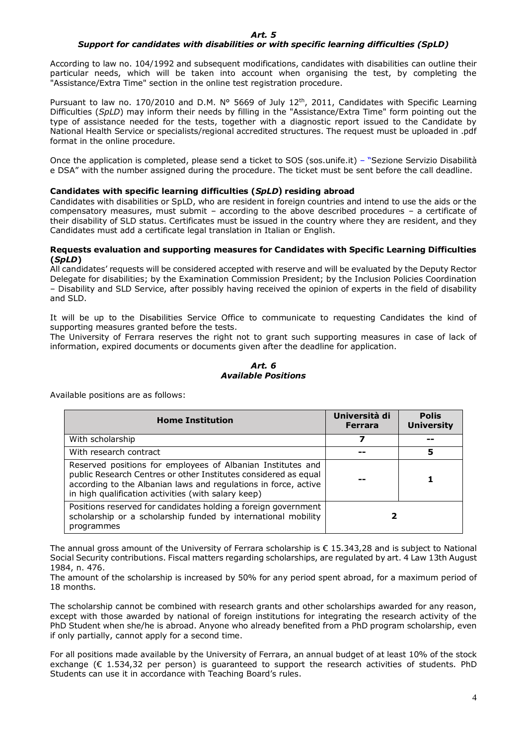#### *Art. 5*

# *Support for candidates with disabilities or with specific learning difficulties (SpLD)*

According to law no. 104/1992 and subsequent modifications, candidates with disabilities can outline their particular needs, which will be taken into account when organising the test, by completing the "Assistance/Extra Time" section in the online test registration procedure.

Pursuant to law no. 170/2010 and D.M. N° 5669 of July 12<sup>th</sup>, 2011, Candidates with Specific Learning Difficulties (*SpLD*) may inform their needs by filling in the "Assistance/Extra Time" form pointing out the type of assistance needed for the tests, together with a diagnostic report issued to the Candidate by National Health Service or specialists/regional accredited structures. The request must be uploaded in .pdf format in the online procedure.

Once the application is completed, please send a ticket to [SOS](mailto:SOS) (sos.unife.it) – "Sezione Servizio Disabilità e DSA" with the number assigned during the procedure. The ticket must be sent before the call deadline.

### **Candidates with specific learning difficulties (***SpLD***) residing abroad**

Candidates with disabilities or SpLD, who are resident in foreign countries and intend to use the aids or the compensatory measures, must submit – according to the above described procedures – a certificate of their disability of SLD status. Certificates must be issued in the country where they are resident, and they Candidates must add a certificate legal translation in Italian or English.

#### **Requests evaluation and supporting measures for Candidates with Specific Learning Difficulties (***SpLD***)**

All candidates' requests will be considered accepted with reserve and will be evaluated by the Deputy Rector Delegate for disabilities; by the Examination Commission President; by the Inclusion Policies Coordination – Disability and SLD Service, after possibly having received the opinion of experts in the field of disability and SLD.

It will be up to the Disabilities Service Office to communicate to requesting Candidates the kind of supporting measures granted before the tests.

The University of Ferrara reserves the right not to grant such supporting measures in case of lack of information, expired documents or documents given after the deadline for application.

#### *Art. 6 Available Positions*

Available positions are as follows:

| <b>Home Institution</b>                                                                                                                                                                                                                                  | Università di<br><b>Ferrara</b> | <b>Polis</b><br><b>University</b> |
|----------------------------------------------------------------------------------------------------------------------------------------------------------------------------------------------------------------------------------------------------------|---------------------------------|-----------------------------------|
| With scholarship                                                                                                                                                                                                                                         |                                 |                                   |
| With research contract                                                                                                                                                                                                                                   |                                 | 5                                 |
| Reserved positions for employees of Albanian Institutes and<br>public Research Centres or other Institutes considered as equal<br>according to the Albanian laws and regulations in force, active<br>in high qualification activities (with salary keep) |                                 |                                   |
| Positions reserved for candidates holding a foreign government<br>scholarship or a scholarship funded by international mobility<br>programmes                                                                                                            |                                 |                                   |

The annual gross amount of the University of Ferrara scholarship is € 15.343,28 and is subject to National Social Security contributions. Fiscal matters regarding scholarships, are regulated by art. 4 Law 13th August 1984, n. 476.

The amount of the scholarship is increased by 50% for any period spent abroad, for a maximum period of 18 months.

The scholarship cannot be combined with research grants and other scholarships awarded for any reason, except with those awarded by national of foreign institutions for integrating the research activity of the PhD Student when she/he is abroad. Anyone who already benefited from a PhD program scholarship, even if only partially, cannot apply for a second time.

For all positions made available by the University of Ferrara, an annual budget of at least 10% of the stock exchange  $(E 1.534.32$  per person) is guaranteed to support the research activities of students. PhD Students can use it in accordance with Teaching Board's rules.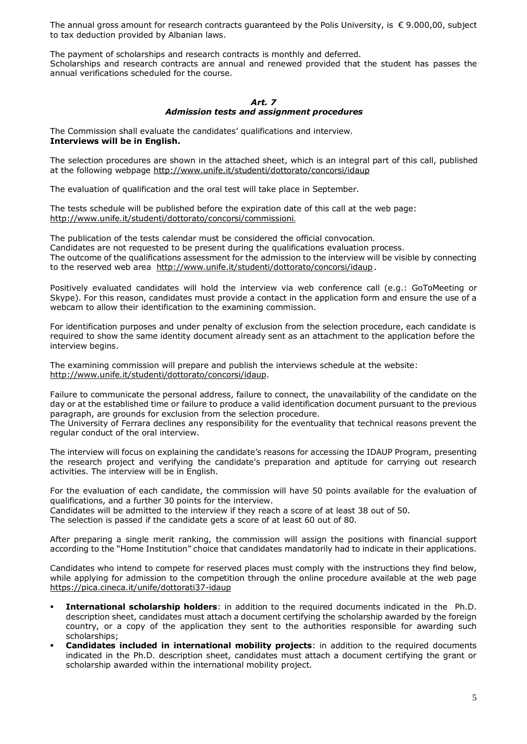The annual gross amount for research contracts guaranteed by the Polis University, is  $\epsilon$  9.000,00, subject to tax deduction provided by Albanian laws.

The payment of scholarships and research contracts is monthly and deferred. Scholarships and research contracts are annual and renewed provided that the student has passes the annual verifications scheduled for the course.

#### *Art. 7 Admission tests and assignment procedures*

The Commission shall evaluate the candidates' qualifications and interview. **Interviews will be in English.**

The selection procedures are shown in the attached sheet, which is an integral part of this call, published at the following webpage<http://www.unife.it/studenti/dottorato/concorsi/idaup>

The evaluation of qualification and the oral test will take place in September.

The tests schedule will be published before the expiration date of this call at the web page: <http://www.unife.it/studenti/dottorato/concorsi/commissioni>.

The publication of the tests calendar must be considered the official convocation. Candidates are not requested to be present during the qualifications evaluation process. The outcome of the qualifications assessment for the admission to the interview will be visible by connecting to the reserved web area <http://www.unife.it/studenti/dottorato/concorsi/idaup>.

Positively evaluated candidates will hold the interview via web conference call (e.g.: GoToMeeting or Skype). For this reason, candidates must provide a contact in the application form and ensure the use of a webcam to allow their identification to the examining commission.

For identification purposes and under penalty of exclusion from the selection procedure, each candidate is required to show the same identity document already sent as an attachment to the application before the interview begins.

The examining commission will prepare and publish the interviews schedule at the website: [http://www.unife.it/studenti/dottorato/concorsi/idaup.](http://www.unife.it/studenti/dottorato/concorsi/idaup)

Failure to communicate the personal address, failure to connect, the unavailability of the candidate on the day or at the established time or failure to produce a valid identification document pursuant to the previous paragraph, are grounds for exclusion from the selection procedure.

The University of Ferrara declines any responsibility for the eventuality that technical reasons prevent the regular conduct of the oral interview.

The interview will focus on explaining the candidate's reasons for accessing the IDAUP Program, presenting the research project and verifying the candidate's preparation and aptitude for carrying out research activities. The interview will be in English.

For the evaluation of each candidate, the commission will have 50 points available for the evaluation of qualifications, and a further 30 points for the interview.

Candidates will be admitted to the interview if they reach a score of at least 38 out of 50. The selection is passed if the candidate gets a score of at least 60 out of 80.

After preparing a single merit ranking, the commission will assign the positions with financial support according to the "Home Institution" choice that candidates mandatorily had to indicate in their applications.

Candidates who intend to compete for reserved places must comply with the instructions they find below, while applying for admission to the competition through the online procedure available at the web page <https://pica.cineca.it/unife/dottorati37-idaup>

- **International scholarship holders**: in addition to the required documents indicated in the Ph.D. description sheet, candidates must attach a document certifying the scholarship awarded by the foreign country, or a copy of the application they sent to the authorities responsible for awarding such scholarships;
- **Candidates included in international mobility projects**: in addition to the required documents indicated in the Ph.D. description sheet, candidates must attach a document certifying the grant or scholarship awarded within the international mobility project.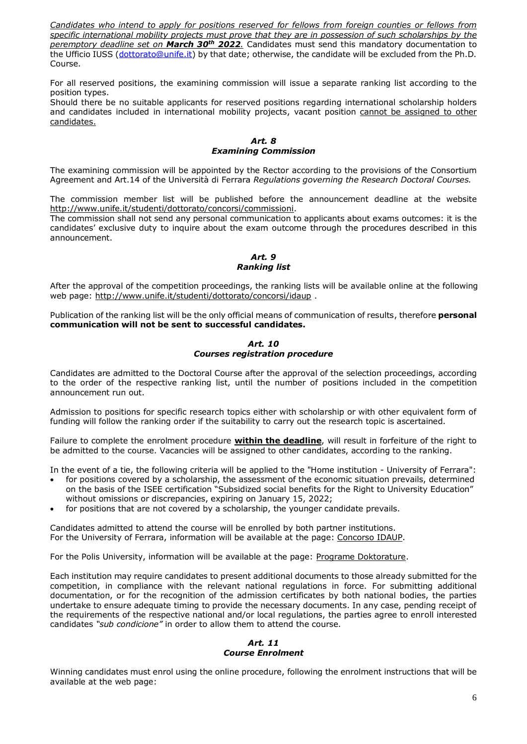*Candidates who intend to apply for positions reserved for fellows from foreign counties or fellows from specific international mobility projects must prove that they are in possession of such scholarships by the peremptory deadline set on March 30th 2022.* Candidates must send this mandatory documentation to the Ufficio IUSS [\(dottorato@unife.it\)](mailto:dottorato@unife.it) by that date; otherwise, the candidate will be excluded from the Ph.D. Course.

For all reserved positions, the examining commission will issue a separate ranking list according to the position types.

Should there be no suitable applicants for reserved positions regarding international scholarship holders and candidates included in international mobility projects, vacant position cannot be assigned to other candidates.

*Art. 8 Examining Commission*

The examining commission will be appointed by the Rector according to the provisions of the Consortium Agreement and Art.14 of the Università di Ferrara *Regulations governing the Research Doctoral Courses.*

The commission member list will be published before the announcement deadline at the website [http://www.unife.it/studenti/dottorato/concorsi/commissioni.](http://www.unife.it/studenti/dottorato/concorsi/commissioni)

The commission shall not send any personal communication to applicants about exams outcomes: it is the candidates' exclusive duty to inquire about the exam outcome through the procedures described in this announcement.

# *Art. 9 Ranking list*

After the approval of the competition proceedings, the ranking lists will be available online at the following web page: <http://www.unife.it/studenti/dottorato/concorsi/idaup> .

Publication of the ranking list will be the only official means of communication of results, therefore **personal communication will not be sent to successful candidates.**

*Art. 10 Courses registration procedure*

Candidates are admitted to the Doctoral Course after the approval of the selection proceedings, according to the order of the respective ranking list, until the number of positions included in the competition announcement run out.

Admission to positions for specific research topics either with scholarship or with other equivalent form of funding will follow the ranking order if the suitability to carry out the research topic is ascertained.

Failure to complete the enrolment procedure **within the deadline**, will result in forfeiture of the right to be admitted to the course. Vacancies will be assigned to other candidates, according to the ranking.

In the event of a tie, the following criteria will be applied to the "Home institution - University of Ferrara":

- for positions covered by a scholarship, the assessment of the economic situation prevails, determined on the basis of the ISEE certification "Subsidized social benefits for the Right to University Education" without omissions or discrepancies, expiring on January 15, 2022;
- for positions that are not covered by a scholarship, the younger candidate prevails.

Candidates admitted to attend the course will be enrolled by both partner institutions. For the University of Ferrara, information will be available at the page: [Concorso IDAUP.](http://www.unife.it/studenti/dottorato/concorsi/idaup)

For the Polis University, information will be available at the page: [Programe Doktorature.](http://www.universitetipolis.edu.al/?q=sq/node/31)

Each institution may require candidates to present additional documents to those already submitted for the competition, in compliance with the relevant national regulations in force. For submitting additional documentation, or for the recognition of the admission certificates by both national bodies, the parties undertake to ensure adequate timing to provide the necessary documents. In any case, pending receipt of the requirements of the respective national and/or local regulations, the parties agree to enroll interested candidates *"sub condicione"* in order to allow them to attend the course.

#### *Art. 11 Course Enrolment*

Winning candidates must enrol using the online procedure, following the enrolment instructions that will be available at the web page: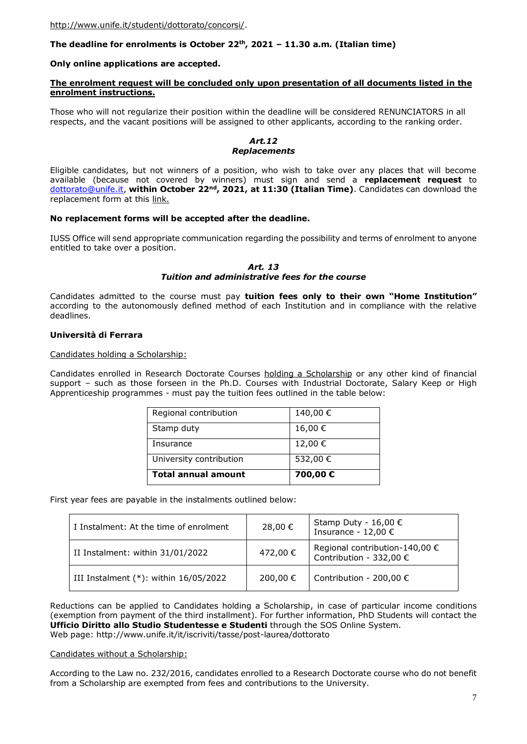# **The deadline for enrolments is October 22th, 2021 – 11.30 a.m. (Italian time)**

#### **Only online applications are accepted.**

#### **The enrolment request will be concluded only upon presentation of all documents listed in the enrolment instructions.**

Those who will not regularize their position within the deadline will be considered RENUNCIATORS in all respects, and the vacant positions will be assigned to other applicants, according to the ranking order.

# *Art.12 Replacements*

Eligible candidates, but not winners of a position, who wish to take over any places that will become available (because not covered by winners) must sign and send a **replacement request** to [dottorato@unife.it,](mailto:dottorato@unife.it) **within October 22nd, 2021, at 11:30 (Italian Time)**. Candidates can download the replacement form at this [link.](http://www.unife.it/studenti/dottorato/it/modulistica/documenti-immatricolazione/9_subentro_riassegnazione.doc/at_download/file)

#### **No replacement forms will be accepted after the deadline.**

IUSS Office will send appropriate communication regarding the possibility and terms of enrolment to anyone entitled to take over a position.

#### *Art. 13 Tuition and administrative fees for the course*

Candidates admitted to the course must pay **tuition fees only to their own "Home Institution"** according to the autonomously defined method of each Institution and in compliance with the relative deadlines.

#### **Università di Ferrara**

#### Candidates holding a Scholarship:

Candidates enrolled in Research Doctorate Courses holding a Scholarship or any other kind of financial support – such as those forseen in the Ph.D. Courses with Industrial Doctorate, Salary Keep or High Apprenticeship programmes - must pay the tuition fees outlined in the table below:

| <b>Total annual amount</b> | 700,00 € |  |
|----------------------------|----------|--|
| University contribution    | 532,00 € |  |
| Insurance                  | 12,00 €  |  |
| Stamp duty                 | 16,00€   |  |
| Regional contribution      | 140,00€  |  |

First year fees are payable in the instalments outlined below:

| I Instalment: At the time of enrolment     | 28,00 €  | Stamp Duty - 16,00 €<br>Insurance - 12,00 €                        |
|--------------------------------------------|----------|--------------------------------------------------------------------|
| II Instalment: within 31/01/2022           | 472,00 € | Regional contribution-140,00 $\epsilon$<br>Contribution - 332,00 € |
| III Instalment $(*)$ : within $16/05/2022$ | 200,00 € | Contribution - 200,00 $\epsilon$                                   |

Reductions can be applied to Candidates holding a Scholarship, in case of particular income conditions (exemption from payment of the third installment). For further information, PhD Students will contact the **Ufficio Diritto allo Studio Studentesse e Studenti** through the SOS Online System. Web page: http://www.unife.it/it/iscriviti/tasse/post-laurea/dottorato

#### Candidates without a Scholarship:

According to the Law no. 232/2016, candidates enrolled to a Research Doctorate course who do not benefit from a Scholarship are exempted from fees and contributions to the University.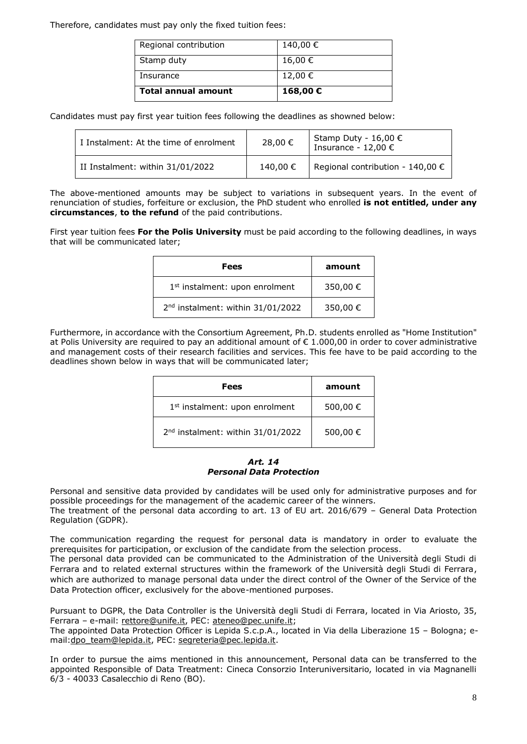Therefore, candidates must pay only the fixed tuition fees:

| Total annual amount   | 168,00€  |
|-----------------------|----------|
| Insurance             | 12,00 €  |
| Stamp duty            | 16,00 €  |
| Regional contribution | 140,00 € |

Candidates must pay first year tuition fees following the deadlines as showned below:

| I Instalment: At the time of enrolment | 28,00 €  | Stamp Duty - $16,00 \in$<br>Insurance - 12,00 € |
|----------------------------------------|----------|-------------------------------------------------|
| II Instalment: within 31/01/2022       | 140,00 € | Regional contribution - 140,00 $\epsilon$       |

The above-mentioned amounts may be subject to variations in subsequent years. In the event of renunciation of studies, forfeiture or exclusion, the PhD student who enrolled **is not entitled, under any circumstances**, **to the refund** of the paid contributions.

First year tuition fees **For the Polis University** must be paid according to the following deadlines, in ways that will be communicated later;

| <b>Fees</b>                                   | amount   |
|-----------------------------------------------|----------|
| 1 <sup>st</sup> instalment: upon enrolment    | 350,00 € |
| 2 <sup>nd</sup> instalment: within 31/01/2022 | 350,00 € |

Furthermore, in accordance with the Consortium Agreement, Ph.D. students enrolled as "Home Institution" at Polis University are required to pay an additional amount of  $\epsilon$  1.000,00 in order to cover administrative and management costs of their research facilities and services. This fee have to be paid according to the deadlines shown below in ways that will be communicated later;

| Fees                                          | amount   |
|-----------------------------------------------|----------|
| 1 <sup>st</sup> instalment: upon enrolment    | 500,00 € |
| 2 <sup>nd</sup> instalment: within 31/01/2022 | 500,00 € |

#### *Art. 14 Personal Data Protection*

Personal and sensitive data provided by candidates will be used only for administrative purposes and for possible proceedings for the management of the academic career of the winners.

The treatment of the personal data according to art. 13 of EU art. 2016/679 – General Data Protection Regulation (GDPR).

The communication regarding the request for personal data is mandatory in order to evaluate the prerequisites for participation, or exclusion of the candidate from the selection process.

The personal data provided can be communicated to the Administration of the Università degli Studi di Ferrara and to related external structures within the framework of the Università degli Studi di Ferrara, which are authorized to manage personal data under the direct control of the Owner of the Service of the Data Protection officer, exclusively for the above-mentioned purposes.

Pursuant to DGPR, the Data Controller is the Università degli Studi di Ferrara, located in Via Ariosto, 35, Ferrara - e-mail: [rettore@unife.it,](mailto:rettore@unife.it) PEC: [ateneo@pec.unife.it;](mailto:ateneo@pec.unife.it)

The appointed Data Protection Officer is Lepida S.c.p.A., located in Via della Liberazione 15 – Bologna; e-mail[:dpo\\_team@lepida.it,](mailto:dpo_team@lepida.it) PEC: [segreteria@pec.lepida.it.](mailto:segreteria@pec.lepida.it)

In order to pursue the aims mentioned in this announcement, Personal data can be transferred to the appointed Responsible of Data Treatment: Cineca Consorzio Interuniversitario, located in via Magnanelli 6/3 - 40033 Casalecchio di Reno (BO).